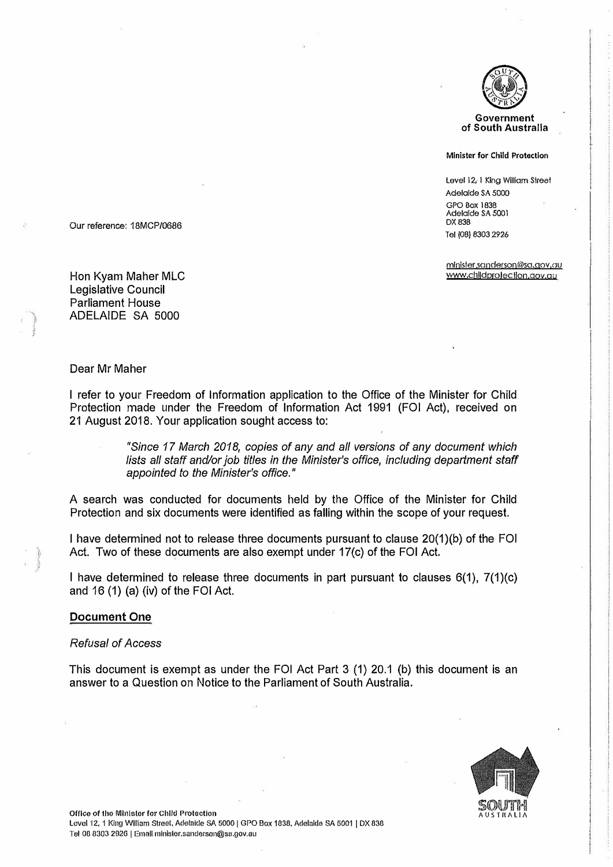

#### **Minister for Chlld Protection**

Level 12, 1 King William Street Adelaide SA 5000 GPO Box 1838 Adelaide SA 5001 DX838 Tel (08) 8303 2926

minister.sanderson@sa.gov.au www.childprofection.gov.au

Our reference: 1 BMCP/0686

Hon Kyam Maher MLC Legislative Council Parliament House ADELAIDE SA 5000

#### Dear Mr Maher

I refer to your Freedom of Information application to the Office of the Minister for Child Protection made under the Freedom of Information Act 1991 (FOi Act), received on 21 August 2018. Your application sought access to:

> *"Since 17 March 2018, copies of any and all versions of any document which*  lists all staff and/or job titles in the Minister's office, including department staff *appointed to the Minister's office."*

A search was conducted for documents held by the Office of the Minister for Child Protection and six documents were identified as falling within the scope of your request.

I have determined not to release three documents pursuant to clause 20(1)(b) of the FOi Act. Two of these documents are also exempt under 17(c) of the FOi Act.

I have determined to release three documents in part pursuant to clauses 6(1), 7(1)(c) and 16 (1) (a) (iv) of the FOi Act.

#### **Document One**

#### *Refusal of Access*

This document is exempt as under the FOi Act Part 3 (1) 20.1 (b) this document is an answer to a Question on Notice to the Parliament of South Australia.

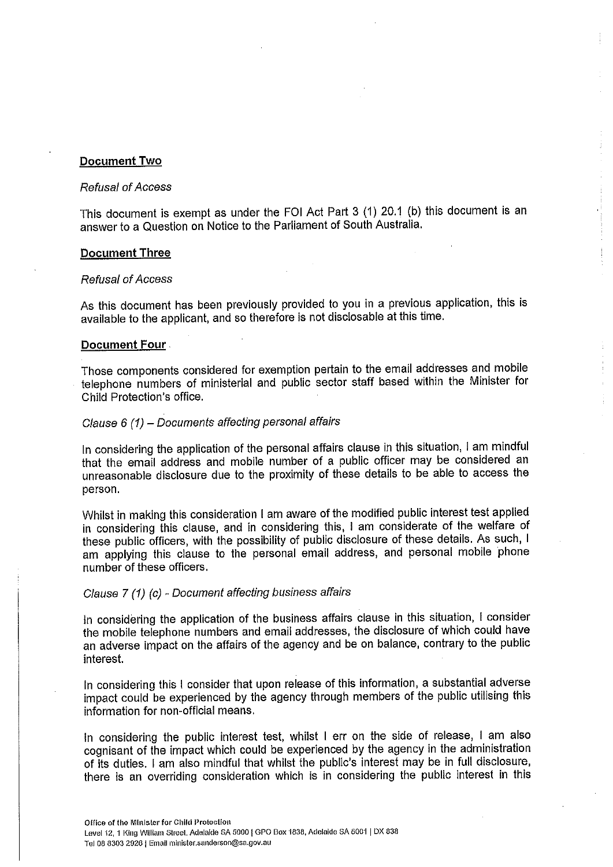## Document Two

### **Refusal of Access**

This document is exempt as under the FOI Act Part 3 (1) 20.1 (b) this document is an answer to a Question on Notice to the Parliament of South Australia.

### **Document Three**

#### **Refusal of Access**

As this document has been previously provided to you in a previous application, this is available to the applicant, and so therefore is not disclosable at this time.

## Document Four

Those components considered for exemption pertain to the email addresses and mobile telephone numbers of ministerial and public sector staff based within the Minister for Child Protection's office.

# Clause 6 (1) - Documents affecting personal affairs

In considering the application of the personal affairs clause in this situation, I am mindful that the email address and mobile number of a public officer may be considered an unreasonable disclosure due to the proximity of these details to be able to access the person.

Whilst in making this consideration I am aware of the modified public interest test applied in considering this clause, and in considering this, I am considerate of the welfare of these public officers, with the possibility of public disclosure of these details. As such, I am applying this clause to the personal email address, and personal mobile phone number of these officers.

# Clause 7 (1) (c) - Document affecting business affairs

In considering the application of the business affairs clause in this situation, I consider the mobile telephone numbers and email addresses, the disclosure of which could have an adverse impact on the affairs of the agency and be on balance, contrary to the public interest.

In considering this I consider that upon release of this information, a substantial adverse impact could be experienced by the agency through members of the public utilising this information for non-official means.

In considering the public interest test, whilst I err on the side of release, I am also cognisant of the impact which could be experienced by the agency in the administration of its duties. I am also mindful that whilst the public's interest may be in full disclosure, there is an overriding consideration which is in considering the public interest in this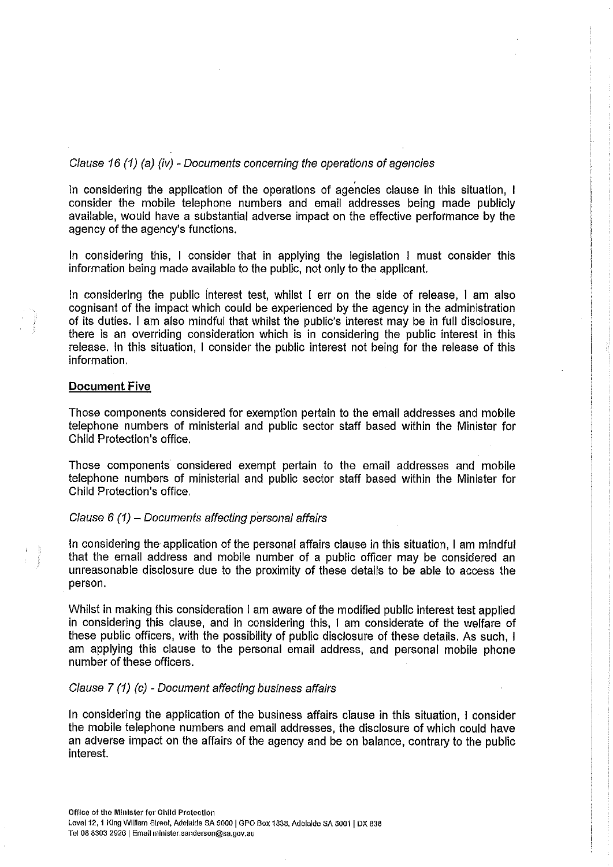# Clause 16 (1) (a) (iv) - Documents concerning the operations of agencies

In considering the application of the operations of agencies clause in this situation, I consider the mobile telephone numbers and email addresses being made publicly available, would have a substantial adverse impact on the effective performance by the agency of the agency's functions.

In considering this, I consider that in applying the legislation I must consider this information being made available to the public, not only to the applicant.

In considering the public interest test, whilst I err on the side of release, I am also cognisant of the impact which could be experienced by the agency in the administration of its duties. I am also mindful that whilst the public's interest may be in full disclosure, there is an overriding consideration which is in considering the public interest in this release. In this situation, I consider the public interest not being for the release of this information.

## **Document Five**

Those components considered for exemption pertain to the email addresses and mobile telephone numbers of ministerial and public sector staff based within the Minister for Child Protection's office.

Those components considered exempt pertain to the email addresses and mobile telephone numbers of ministerial and public sector staff based within the Minister for Child Protection's office.

# Clause  $6(1)$  - Documents affecting personal affairs

In considering the application of the personal affairs clause in this situation, I am mindful that the email address and mobile number of a public officer may be considered an unreasonable disclosure due to the proximity of these details to be able to access the person.

Whilst in making this consideration I am aware of the modified public interest test applied in considering this clause, and in considering this, I am considerate of the welfare of these public officers, with the possibility of public disclosure of these details. As such, I am applying this clause to the personal email address, and personal mobile phone number of these officers.

# Clause 7 (1) (c) - Document affecting business affairs

In considering the application of the business affairs clause in this situation, I consider the mobile telephone numbers and email addresses, the disclosure of which could have an adverse impact on the affairs of the agency and be on balance, contrary to the public interest.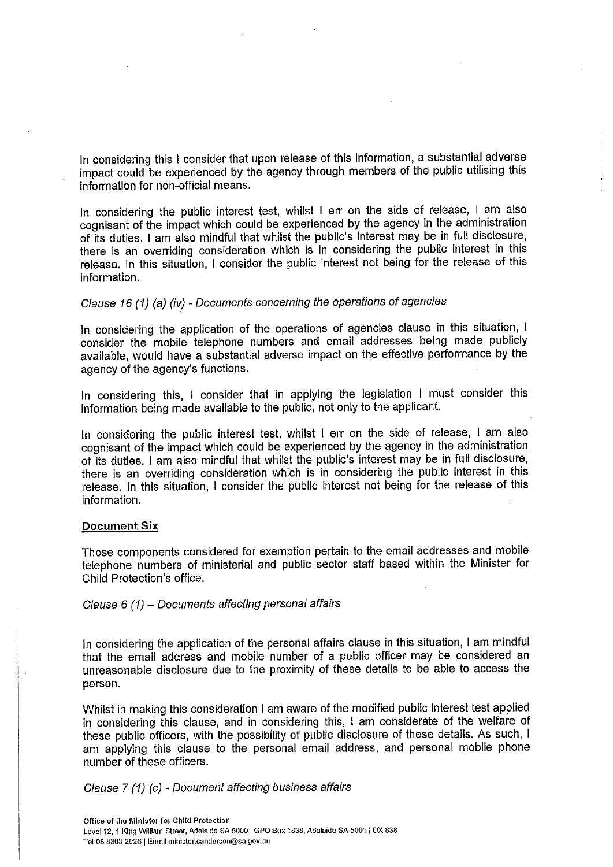In considering this I consider that upon release of this information, a substantial adverse impact could be experienced by the agency through members of the public utilising this information for non-official means.

In considering the public interest test, whilst I err on the side of release, I am also cognisant of the impact which could be experienced by the agency in the administration of its duties. I am also mindful that whilst the public's interest may be in full disclosure, there is an overriding consideration which is in considering the public interest in this release. In this situation, I consider the public interest not being for the release of this information.

# Clause 16 (1) (a) (iv) - Documents concerning the operations of agencies

In considering the application of the operations of agencies clause in this situation, I consider the mobile telephone numbers and email addresses being made publicly available, would have a substantial adverse impact on the effective performance by the agency of the agency's functions.

In considering this, I consider that in applying the legislation I must consider this information being made available to the public, not only to the applicant.

In considering the public interest test, whilst I err on the side of release, I am also cognisant of the impact which could be experienced by the agency in the administration of its duties. I am also mindful that whilst the public's interest may be in full disclosure. there is an overriding consideration which is in considering the public interest in this release. In this situation, I consider the public interest not being for the release of this information.

#### **Document Six**

Those components considered for exemption pertain to the email addresses and mobile telephone numbers of ministerial and public sector staff based within the Minister for Child Protection's office.

Clause 6 (1) - Documents affecting personal affairs

In considering the application of the personal affairs clause in this situation, I am mindful that the email address and mobile number of a public officer may be considered an unreasonable disclosure due to the proximity of these details to be able to access the person.

Whilst in making this consideration I am aware of the modified public interest test applied in considering this clause, and in considering this, I am considerate of the welfare of these public officers, with the possibility of public disclosure of these details. As such, I am applying this clause to the personal email address, and personal mobile phone number of these officers.

# Clause 7 (1) (c) - Document affecting business affairs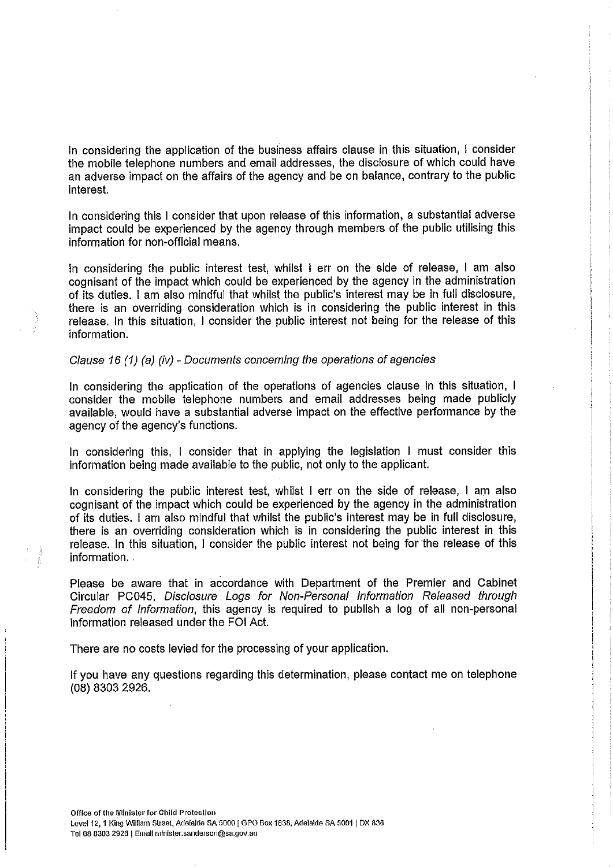In considering the application of the business affairs clause in this situation, I consider the mobile telephone numbers and email addresses, the disclosure of which could have an adverse impact on the affairs of the agency and be on balance, contrary to the public interest.

In considering this I consider that upon release of this information, a substantial adverse impact could be experienced by the agency through members of the public utilising this information for non-official means.

In considering the public interest test, whilst I err on the side of release, I am also cognisant of the impact which could be experienced by the agency in the administration of its duties. I am also mindful that whilst the public's interest may be in full disclosure, there is an overriding consideration which is in considering the public interest in this release. In this situation, I consider the public interest not being for the release of this information.

### Clause 16 (1) (a) (iv) - Documents concerning the operations of agencies

In considering the application of the operations of agencies clause in this situation, I consider the mobile telephone numbers and email addresses being made publicly available, would have a substantial adverse impact on the effective performance by the agency of the agency's functions.

In considering this, I consider that in applying the legislation I must consider this information being made available to the public, not only to the applicant.

In considering the public interest test, whilst I err on the side of release, I am also cognisant of the impact which could be experienced by the agency in the administration of its duties. I am also mindful that whilst the public's interest may be in full disclosure, there is an overriding consideration which is in considering the public interest in this release. In this situation, I consider the public interest not being for the release of this information.

Please be aware that in accordance with Department of the Premier and Cabinet Circular PC045, Disclosure Logs for Non-Personal Information Released through Freedom of Information, this agency is required to publish a log of all non-personal information released under the FOI Act.

There are no costs levied for the processing of your application.

If you have any questions regarding this determination, please contact me on telephone (08) 8303 2926.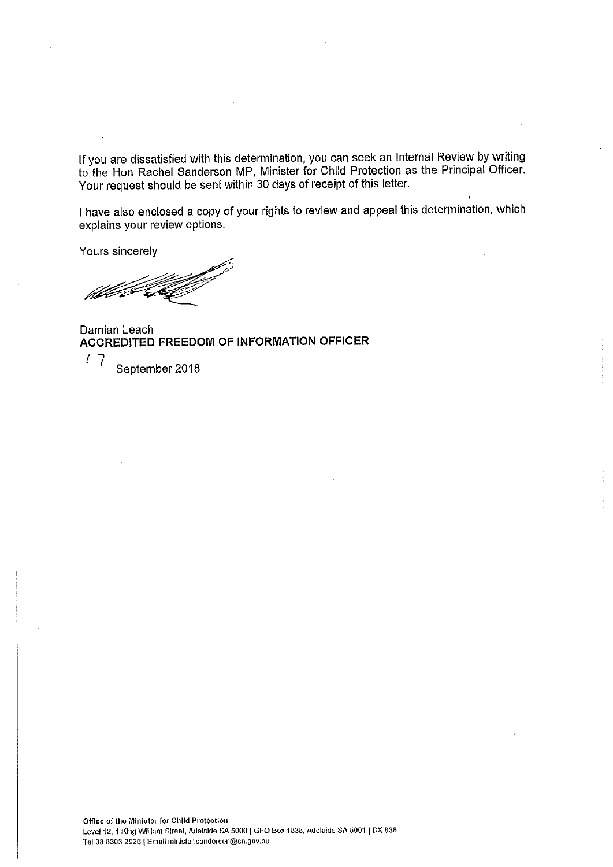If you are dissatisfied with this determination, you can seek an Internal Review by writing<br>to the Hon Rachel Sanderson MP, Minister for Child Protection as the Principal Officer. Your request should be sent within 30 days of receipt of this letter.

I have also enclosed a copy of your rights to review and appeal this determination, which explains your review options.

Yours sincerely

Damian Leach ACCREDITED FREEDOM OF INFORMATION OFFICER

 $17$ September 2018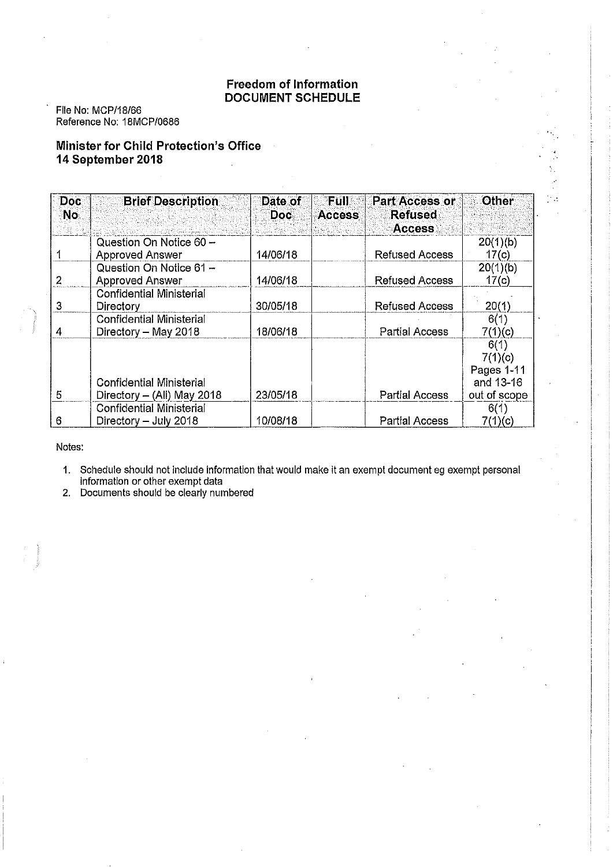# **Freedom of Information DOCUMENT SCHEDULE**

 $\mathcal{A}_{\mathcal{A}}$ 

File No: MCP/18/66 Reference No: 18MCP/0686

# **Minister for Child Protection's Office** 14 September 2018

| Doc<br>No. | <b>Brief Description</b>        | Date of<br>Doc: | Full<br><b>Access</b> | <b>Part Access or</b><br><b>Refused</b><br><b>Access</b> | ⊙ther        |
|------------|---------------------------------|-----------------|-----------------------|----------------------------------------------------------|--------------|
|            | Question On Notice 60 -         |                 |                       |                                                          | 20(1)(b)     |
|            | Approved Answer                 | 14/06/18        |                       | <b>Refused Access</b>                                    | 17(c)        |
|            | Question On Notice 61 -         |                 |                       |                                                          | 20(1)(b)     |
| 2          | Approved Answer                 | 14/06/18        |                       | <b>Refused Access</b>                                    | 17(c)        |
|            | <b>Confidential Ministerial</b> |                 |                       |                                                          |              |
| 3          | <b>Directory</b>                | 30/05/18        |                       | <b>Refused Access</b>                                    | 20(1)        |
|            | <b>Confidential Ministerial</b> |                 |                       |                                                          | 6(1)         |
| 4          | Directory - May 2018            | 18/06/18        |                       | <b>Partial Access</b>                                    | 7(1)(c)      |
|            |                                 |                 |                       |                                                          | 6(1)         |
|            |                                 |                 |                       |                                                          | 7(1)(c)      |
|            |                                 |                 |                       |                                                          | Pages 1-11   |
|            | <b>Confidential Ministerial</b> |                 |                       |                                                          | and 13-16    |
| 5          | Directory - (All) May 2018      | 23/05/18        |                       | <b>Partial Access</b>                                    | out of scope |
|            | <b>Confidential Ministerial</b> |                 |                       |                                                          | 6(1)         |
| 6          | Directory - July 2018           | 10/08/18        |                       | <b>Partial Access</b>                                    | 7(1)(c)      |

Notes:

1. Schedule should not include information that would make it an exempt document eg exempt personal information or other exempt data<br>2. Documents should be clearly numbered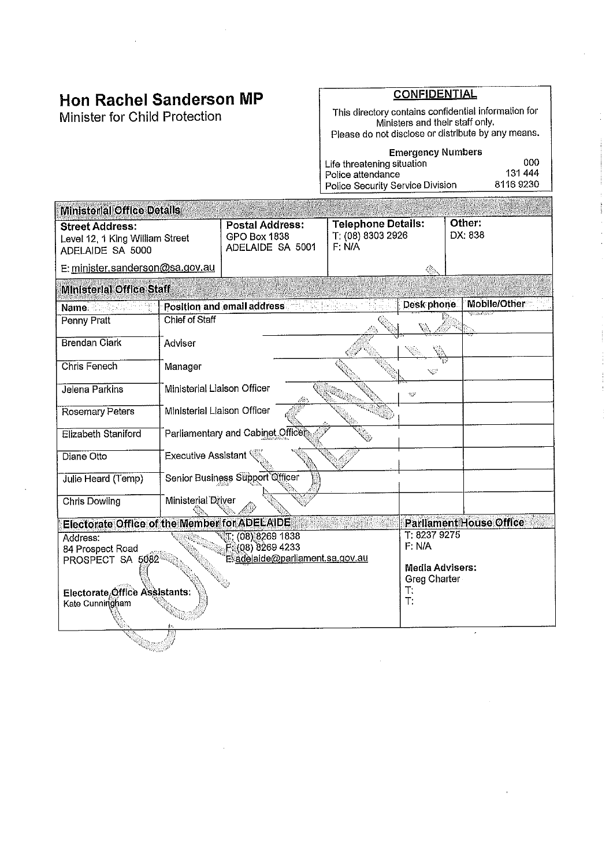# **Hon Rachel Sanderson MP**

Minister for Child Protection

# **CONFIDENTIAL**

This directory contains confidential information for<br>Ministers and their staff only.<br>Please do not disclose or distribute by any means.

| <b>Emergency Numbers</b>         |           |
|----------------------------------|-----------|
| Life threatening situation       | 000       |
| Police attendance                | 131 444   |
| Police Security Service Division | 8116 9230 |

| <b>Ministerial Office Details</b>                                                                                                      |                                  |                                                            |                                                          |                                                    |                         |
|----------------------------------------------------------------------------------------------------------------------------------------|----------------------------------|------------------------------------------------------------|----------------------------------------------------------|----------------------------------------------------|-------------------------|
| <b>Street Address:</b><br>Level 12, 1 King William Street<br>ADELAIDE SA 5000                                                          |                                  | <b>Postal Address:</b><br>GPO Box 1838<br>ADELAIDE SA 5001 | <b>Telephone Details:</b><br>T: (08) 8303 2926<br>F: N/A |                                                    | Other:<br>DX 838        |
| E: minister.sanderson@sa.gov.au                                                                                                        |                                  |                                                            |                                                          | ٨                                                  |                         |
| <b>Ministerial Office Staff</b>                                                                                                        |                                  |                                                            |                                                          |                                                    |                         |
| Name.                                                                                                                                  |                                  | Position and email address                                 |                                                          | Desk phone                                         | Mobile/Other            |
| Penny Pratt                                                                                                                            | Chief of Staff                   |                                                            |                                                          |                                                    |                         |
| <b>Brendan Clark</b>                                                                                                                   | Adviser                          |                                                            |                                                          |                                                    |                         |
| Chris Fenech                                                                                                                           | Manager                          |                                                            |                                                          | W                                                  |                         |
| Jelena Parkins                                                                                                                         | Ministerial Liaison Officer      |                                                            |                                                          | $\pi_{\mathbf{a}}$                                 |                         |
| <b>Rosemary Peters</b>                                                                                                                 | Ministerial Liaison Officer      |                                                            |                                                          |                                                    |                         |
| <b>Elizabeth Staniford</b>                                                                                                             |                                  | Parliamentary and Cabinet Officer                          |                                                          |                                                    |                         |
| Diane Otto                                                                                                                             | Executive Assistant <sup>(</sup> |                                                            |                                                          |                                                    |                         |
| Julie Heard (Temp)                                                                                                                     |                                  | Senior Business Support Officer                            |                                                          |                                                    |                         |
| <b>Chris Dowling</b>                                                                                                                   | Ministerial Driver               |                                                            |                                                          |                                                    |                         |
| <b>Electorate Office of the Member for ADELAIDE</b>                                                                                    |                                  |                                                            |                                                          |                                                    | Parliament House Office |
| $\sqrt{5}$ : (08) 8269 1838<br>Address:<br>F (08) 8269 4233<br>84 Prospect Road<br>Esadelaide@parliament.sa.gov.au<br>PROSPECT SA 5082 |                                  |                                                            |                                                          | T: 8237 9275<br>F: N/A                             |                         |
| Electorate Office Assistants:<br>Kate Cunningham                                                                                       |                                  |                                                            |                                                          | <b>Media Advisers:</b><br>Greg Charter<br>Т.<br>T: |                         |
|                                                                                                                                        |                                  |                                                            |                                                          |                                                    |                         |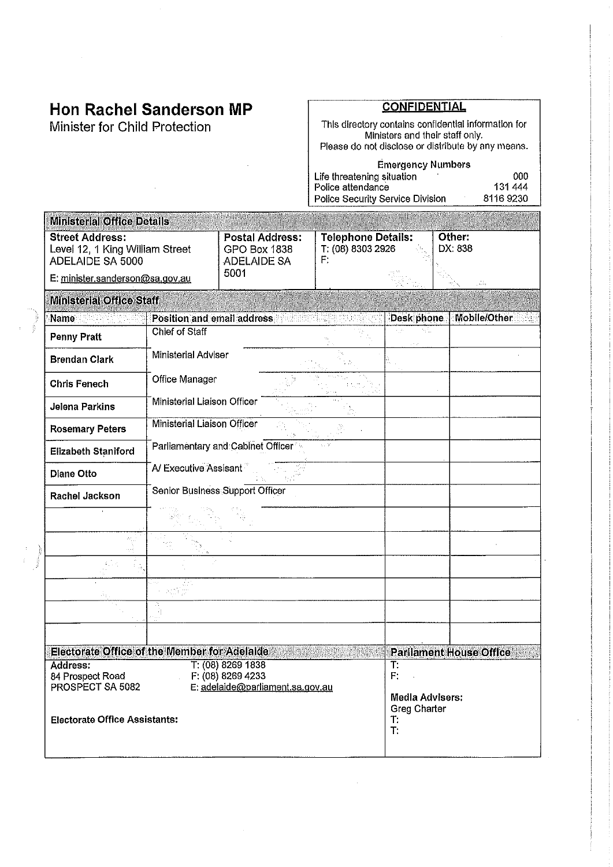# Hon Rachel Sanderson MP

Minister for Child Protection

# **CONFIDENTIAL**

This directory contains confidential information for<br>Ministers and their staff only.<br>Please do not disclose or distribute by any means.

#### **Emergency Numbers** Life threatening situation<br>Police attendance 000 131 444 Police Security Service Division 81169230

| <b>Ministerial Office Details</b>                                                     |                                 |                                                              |                                                      |                                                           |                     |  |
|---------------------------------------------------------------------------------------|---------------------------------|--------------------------------------------------------------|------------------------------------------------------|-----------------------------------------------------------|---------------------|--|
| <b>Street Address:</b><br>Level 12, 1 King William Street<br>ADELAIDE SA 5000         |                                 | <b>Postal Address:</b><br>GPO Box 1838<br><b>ADELAIDE SA</b> | <b>Telephone Details:</b><br>T: (08) 8303 2926<br>F. |                                                           | Other:<br>DX: 838   |  |
| E: minister.sanderson@sa.gov.au                                                       |                                 | 5001                                                         |                                                      |                                                           |                     |  |
| <b>Ministerial Office Staff</b>                                                       |                                 |                                                              |                                                      |                                                           |                     |  |
| Name                                                                                  | Position and email address      |                                                              |                                                      | Desk phone                                                | <b>Mobile/Other</b> |  |
| <b>Penny Pratt</b>                                                                    | <b>Chief of Staff</b>           |                                                              |                                                      | Q.                                                        |                     |  |
| <b>Brendan Clark</b>                                                                  | Ministerial Adviser             |                                                              |                                                      |                                                           |                     |  |
| <b>Chris Fenech</b>                                                                   | Office Manager                  |                                                              |                                                      |                                                           |                     |  |
| Jelena Parkins                                                                        | Ministerial Liaison Officer     |                                                              |                                                      |                                                           |                     |  |
| <b>Rosemary Peters</b>                                                                | Ministerial Liaison Officer     |                                                              |                                                      |                                                           |                     |  |
| Elizabeth Staniford                                                                   |                                 | Parliamentary and Cabinet Officer                            |                                                      |                                                           |                     |  |
| <b>Diane Otto</b>                                                                     | A/ Executive Assisant           |                                                              |                                                      |                                                           |                     |  |
| Rachel Jackson                                                                        | Senior Business Support Officer |                                                              |                                                      |                                                           |                     |  |
|                                                                                       |                                 |                                                              |                                                      |                                                           |                     |  |
|                                                                                       |                                 |                                                              |                                                      |                                                           |                     |  |
|                                                                                       |                                 |                                                              |                                                      |                                                           |                     |  |
|                                                                                       |                                 |                                                              |                                                      |                                                           |                     |  |
|                                                                                       |                                 |                                                              |                                                      |                                                           |                     |  |
|                                                                                       |                                 |                                                              |                                                      |                                                           |                     |  |
| <b>Electorate Office of the Member for Adelaide</b><br><b>Parllament House Office</b> |                                 |                                                              |                                                      |                                                           |                     |  |
| T: (08) 8269 1838<br>T:<br>Address:<br>F: (08) 8269 4233<br>F:<br>84 Prospect Road    |                                 |                                                              |                                                      |                                                           |                     |  |
| PROSPECT SA 5082<br>E: adelaide@parliament.sa.gov.au                                  |                                 |                                                              |                                                      |                                                           |                     |  |
| <b>Electorate Office Assistants:</b>                                                  |                                 |                                                              |                                                      | <b>Media Advisers:</b><br><b>Greg Charter</b><br>T.<br>T. |                     |  |
|                                                                                       |                                 |                                                              |                                                      |                                                           |                     |  |

 $\bar{\gamma}$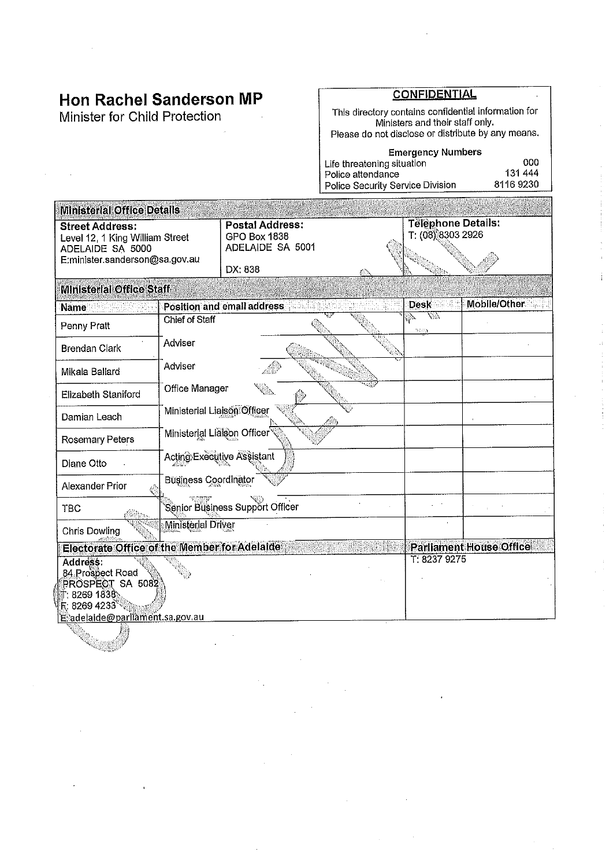# **Hon Rachel Sanderson MP**

Minister for Child Protection

 $\sim$ 

# **CONFIDENTIAL**

 $\cdot$ 

This directory contains confidential information for<br>Ministers and their staff only.<br>Please do not disclose or distribute by any means.

| <b>Emergency Numbers</b>         |          |
|----------------------------------|----------|
| Life threatening situation       | റററ      |
| Police attendance                | 131444   |
| Police Security Service Division | 81169230 |

| <b>Ministerial Office Details</b>                                                                                                          |                             |                                                            |  |                                                |                                |  |
|--------------------------------------------------------------------------------------------------------------------------------------------|-----------------------------|------------------------------------------------------------|--|------------------------------------------------|--------------------------------|--|
| <b>Street Address:</b><br>Level 12, 1 King William Street<br>ADELAIDE SA 5000<br>E:minister.sanderson@sa.gov.au                            |                             | <b>Postal Address:</b><br>GPO Box 1838<br>ADELAIDE SA 5001 |  | <b>Telephone Details:</b><br>T: (08) 8303 2926 |                                |  |
|                                                                                                                                            |                             | DX: 838                                                    |  |                                                |                                |  |
| <b>Ministerial Office Staff</b>                                                                                                            |                             |                                                            |  |                                                |                                |  |
| <b>Name</b>                                                                                                                                |                             | Position and email address                                 |  | <b>Desk</b>                                    | Mobile/Other                   |  |
| Penny Pratt                                                                                                                                | Chief of Staff              |                                                            |  | V.<br><b>ROSSY</b>                             |                                |  |
| <b>Brendan Clark</b>                                                                                                                       | Adviser                     |                                                            |  |                                                |                                |  |
| Mikala Ballard                                                                                                                             | Adviser                     |                                                            |  |                                                |                                |  |
| Office Manager<br><b>Elizabeth Staniford</b>                                                                                               |                             |                                                            |  |                                                |                                |  |
| Ministerial Liaison Officer<br>Damian Leach                                                                                                |                             |                                                            |  |                                                |                                |  |
| Ministerial Lialson Officer<br><b>Rosemary Peters</b>                                                                                      |                             |                                                            |  |                                                |                                |  |
| Diane Otto                                                                                                                                 |                             | Acting Executive Assistant                                 |  |                                                |                                |  |
| Alexander Prior                                                                                                                            | <b>Business Coordinator</b> |                                                            |  |                                                |                                |  |
| <b>TBC</b>                                                                                                                                 |                             | Senior Business Support Officer                            |  |                                                |                                |  |
| <b>Chris Dowling</b>                                                                                                                       | <b>Ministerial Driver</b>   |                                                            |  |                                                |                                |  |
| Electorate Office of the Member for Adelaide                                                                                               |                             |                                                            |  |                                                | <b>Parliament House Office</b> |  |
| Address:<br>84 Prospect Road<br>PROSPECT SA 5082<br>T: 8269 1838<br>$\mathbb{R}$ : 8269 4233 $^{\circ}$<br>E adelaide@parliament.sa.gov.au |                             |                                                            |  | T: 8237 9275                                   |                                |  |
|                                                                                                                                            |                             |                                                            |  |                                                |                                |  |